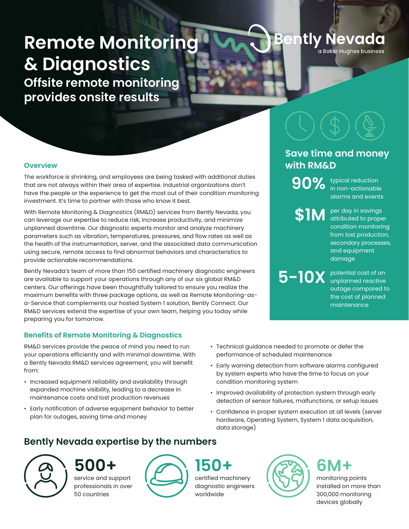# **Remote Monitoring & Diagnostics**

**Offsite remote monitoring provides onsite results**

### **Overview**

The workforce is shrinking, and employees are being tasked with additional duties that are not always within their area of expertise. Industrial organizations don't have the people or the experience to get the most out of their condition monitoring investment. It's time to partner with those who know it best.

With Remote Monitoring & Diagnostics (RM&D) services from Bently Nevada, you can leverage our expertise to reduce risk, increase productivity, and minimize unplanned downtime. Our diagnostic experts monitor and analyze machinery parameters such as vibration, temperatures, pressures, and flow rates as well as the health of the instrumentation, server, and the associated data communication using secure, remote access to find abnormal behaviors and characteristics to provide actionable recommendations.

Bently Nevada's team of more than 150 certified machinery diagnostic engineers are available to support your operations through any of our six global RM&D centers. Our offerings have been thoughtfully tailored to ensure you realize the maximum benefits with three package options, as well as Remote Monitoring-asa-Service that complements our hosted System 1 solution, Bently Connect. Our RM&D services extend the expertise of your own team, helping you today while preparing you for tomorrow.

### **Benefits of Remote Monitoring & Diagnostics**

RM&D services provide the peace of mind you need to run your operations efficiently and with minimal downtime. With a Bently Nevada RM&D services agreement, you will benefit from:

- Increased equipment reliability and availability through expanded machine visibility, leading to a decrease in maintenance costs and lost production revenues
- Early notification of adverse equipment behavior to better plan for outages, saving time and money

## **Bently Nevada expertise by the numbers**

service and support professionals in over 50 countries



certified machinery diagnostic engineers worldwide

ently Nevada

a Baker Hughes business

## **Save time and money with RM&D**

typical reduction **90%** in non-actionable alarms and events

per day in savings **\$1M** attributed to proper condition monitoring from lost production, secondary processes, and equipment damage

potential cost of an unplanned reactive **5-10X** outage compared to the cost of planned maintenance

- Technical guidance needed to promote or defer the performance of scheduled maintenance
- Early warning detection from software alarms configured by system experts who have the time to focus on your condition monitoring system
- Improved availability of protection system through early detection of sensor failures, malfunctions, or setup issues
- Confidence in proper system execution at all levels (server hardware, Operating System, System 1 data acquisition, data storage)



monitoring points installed on more than 300,000 monitoring devices globally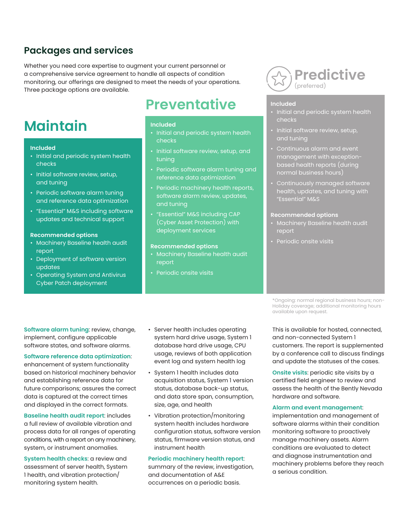### **Packages and services**

Whether you need core expertise to augment your current personnel or a comprehensive service agreement to handle all aspects of condition monitoring, our offerings are designed to meet the needs of your operations. Three package options are available.

# **Maintain**

#### **Included**

- Initial and periodic system health checks
- Initial software review, setup, and tuning
- Periodic software alarm tuning and reference data optimization
- "Essential" M&S including software updates and technical support

#### **Recommended options**

- Machinery Baseline health audit report
- Deployment of software version updates
- Operating System and Antivirus Cyber Patch deployment

# **Preventative**

#### **Included**

- Initial and periodic system health checks
- Initial software review, setup, and tuning
- Periodic software alarm tuning and reference data optimization
- Periodic machinery health reports, software alarm review, updates, and tuning
- "Essential" M&S including CAP (Cyber Asset Protection) with deployment services

#### **Recommended options**

- Machinery Baseline health audit report
- Periodic onsite visits



#### **Included**

- Initial and periodic system health checks
- Initial software review, setup,
- Continuous alarm and event management with exceptionbased health reports (during normal business hours)
- Continuously managed software health, updates, and tuning with "Essential" M&S

#### **Recommended options**

- Machinery Baseline health audit report
- Periodic onsite visits

**Software alarm tuning**: review, change, implement, configure applicable software states, and software alarms.

#### **Software reference data optimization**:

enhancement of system functionality based on historical machinery behavior and establishing reference data for future comparisons; assures the correct data is captured at the correct times and displayed in the correct formats.

**Baseline health audit report**: includes a full review of available vibration and process data for all ranges of operating conditions, with a report on any machinery, system, or instrument anomalies.

**System health checks**: a review and assessment of server health, System 1 health, and vibration protection/ monitoring system health.

- Server health includes operating system hard drive usage, System 1 database hard drive usage, CPU usage, reviews of both application event log and system health log
- System 1 health includes data acquisition status, System 1 version status, database back-up status, and data store span, consumption, size, age, and health
- Vibration protection/monitoring system health includes hardware configuration status, software version status, firmware version status, and instrument health

#### **Periodic machinery health report**:

summary of the review, investigation, and documentation of A&E occurrences on a periodic basis.

\*Ongoing: normal regional business hours; non-Holiday coverage; additional monitoring hours available upon request.

This is available for hosted, connected, and non-connected System 1 customers. The report is supplemented by a conference call to discuss findings and update the statuses of the cases.

**Onsite visits**: periodic site visits by a certified field engineer to review and assess the health of the Bently Nevada hardware and software.

#### **Alarm and event management**:

implementation and management of software alarms within their condition monitoring software to proactively manage machinery assets. Alarm conditions are evaluated to detect and diagnose instrumentation and machinery problems before they reach a serious condition.